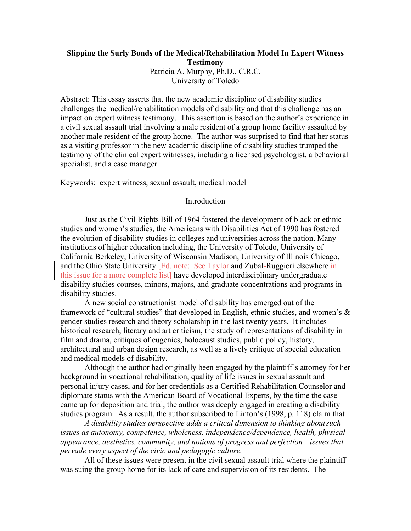# **Slipping the Surly Bonds of the Medical/Rehabilitation Model In Expert Witness Testimony** Patricia A. Murphy, Ph.D., C.R.C. University of Toledo

Abstract: This essay asserts that the new academic discipline of disability studies challenges the medical/rehabilitation models of disability and that this challenge has an impact on expert witness testimony. This assertion is based on the author's experience in a civil sexual assault trial involving a male resident of a group home facility assaulted by another male resident of the group home. The author was surprised to find that her status as a visiting professor in the new academic discipline of disability studies trumped the testimony of the clinical expert witnesses, including a licensed psychologist, a behavioral specialist, and a case manager.

Keywords: expert witness, sexual assault, medical model

#### Introduction

Just as the Civil Rights Bill of 1964 fostered the development of black or ethnic studies and women's studies, the Americans with Disabilities Act of 1990 has fostered the evolution of disability studies in colleges and universities across the nation. Many institutions of higher education including, the University of Toledo, University of California Berkeley, University of Wisconsin Madison, University of Illinois Chicago, and the Ohio State University [Ed. note: See Taylor and Zubal-Ruggieri elsewhere in this issue for a more complete list] have developed interdisciplinary undergraduate disability studies courses, minors, majors, and graduate concentrations and programs in disability studies.

A new social constructionist model of disability has emerged out of the framework of "cultural studies" that developed in English, ethnic studies, and women's & gender studies research and theory scholarship in the last twenty years. It includes historical research, literary and art criticism, the study of representations of disability in film and drama, critiques of eugenics, holocaust studies, public policy, history, architectural and urban design research, as well as a lively critique of special education and medical models of disability.

Although the author had originally been engaged by the plaintiff's attorney for her background in vocational rehabilitation, quality of life issues in sexual assault and personal injury cases, and for her credentials as a Certified Rehabilitation Counselor and diplomate status with the American Board of Vocational Experts, by the time the case came up for deposition and trial, the author was deeply engaged in creating a disability studies program. As a result, the author subscribed to Linton's (1998, p. 118) claim that

*A disability studies perspective adds a critical dimension to thinking aboutsuch issues as autonomy, competence, wholeness, independence/dependence, health, physical appearance, aesthetics, community, and notions of progress and perfection—issues that pervade every aspect of the civic and pedagogic culture.*

All of these issues were present in the civil sexual assault trial where the plaintiff was suing the group home for its lack of care and supervision of its residents. The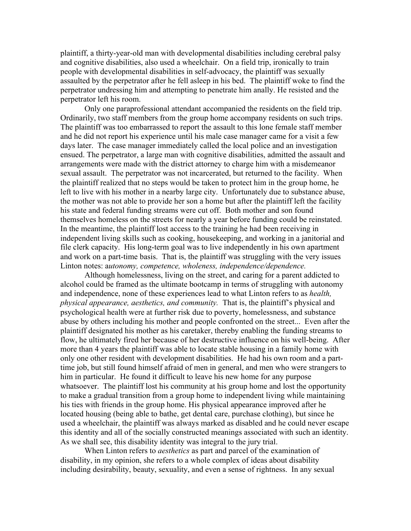plaintiff, a thirty-year-old man with developmental disabilities including cerebral palsy and cognitive disabilities, also used a wheelchair. On a field trip, ironically to train people with developmental disabilities in self-advocacy, the plaintiff was sexually assaulted by the perpetrator after he fell asleep in his bed. The plaintiff woke to find the perpetrator undressing him and attempting to penetrate him anally. He resisted and the perpetrator left his room.

Only one paraprofessional attendant accompanied the residents on the field trip. Ordinarily, two staff members from the group home accompany residents on such trips. The plaintiff was too embarrassed to report the assault to this lone female staff member and he did not report his experience until his male case manager came for a visit a few days later. The case manager immediately called the local police and an investigation ensued. The perpetrator, a large man with cognitive disabilities, admitted the assault and arrangements were made with the district attorney to charge him with a misdemeanor sexual assault. The perpetrator was not incarcerated, but returned to the facility. When the plaintiff realized that no steps would be taken to protect him in the group home, he left to live with his mother in a nearby large city. Unfortunately due to substance abuse, the mother was not able to provide her son a home but after the plaintiff left the facility his state and federal funding streams were cut off. Both mother and son found themselves homeless on the streets for nearly a year before funding could be reinstated. In the meantime, the plaintiff lost access to the training he had been receiving in independent living skills such as cooking, housekeeping, and working in a janitorial and file clerk capacity. His long-term goal was to live independently in his own apartment and work on a part-time basis. That is, the plaintiff was struggling with the very issues Linton notes: a*utonomy, competence, wholeness, independence/dependence.*

Although homelessness, living on the street, and caring for a parent addicted to alcohol could be framed as the ultimate bootcamp in terms of struggling with autonomy and independence, none of these experiences lead to what Linton refers to as *health, physical appearance, aesthetics, and community.* That is, the plaintiff's physical and psychological health were at further risk due to poverty, homelessness, and substance abuse by others including his mother and people confronted on the street... Even after the plaintiff designated his mother as his caretaker, thereby enabling the funding streams to flow, he ultimately fired her because of her destructive influence on his well-being. After more than 4 years the plaintiff was able to locate stable housing in a family home with only one other resident with development disabilities. He had his own room and a parttime job, but still found himself afraid of men in general, and men who were strangers to him in particular. He found it difficult to leave his new home for any purpose whatsoever. The plaintiff lost his community at his group home and lost the opportunity to make a gradual transition from a group home to independent living while maintaining his ties with friends in the group home. His physical appearance improved after he located housing (being able to bathe, get dental care, purchase clothing), but since he used a wheelchair, the plaintiff was always marked as disabled and he could never escape this identity and all of the socially constructed meanings associated with such an identity. As we shall see, this disability identity was integral to the jury trial.

When Linton refers to *aesthetics* as part and parcel of the examination of disability, in my opinion, she refers to a whole complex of ideas about disability including desirability, beauty, sexuality, and even a sense of rightness. In any sexual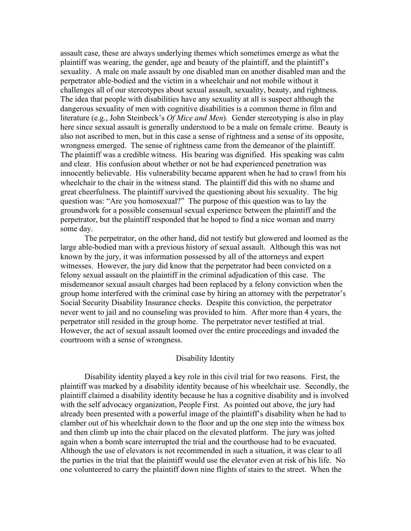assault case, these are always underlying themes which sometimes emerge as what the plaintiff was wearing, the gender, age and beauty of the plaintiff, and the plaintiff's sexuality. A male on male assault by one disabled man on another disabled man and the perpetrator able-bodied and the victim in a wheelchair and not mobile without it challenges all of our stereotypes about sexual assault, sexuality, beauty, and rightness. The idea that people with disabilities have any sexuality at all is suspect although the dangerous sexuality of men with cognitive disabilities is a common theme in film and literature (e.g., John Steinbeck's *Of Mice and Men*)*.* Gender stereotyping is also in play here since sexual assault is generally understood to be a male on female crime. Beauty is also not ascribed to men, but in this case a sense of rightness and a sense of its opposite, wrongness emerged. The sense of rightness came from the demeanor of the plaintiff. The plaintiff was a credible witness. His bearing was dignified. His speaking was calm and clear. His confusion about whether or not he had experienced penetration was innocently believable. His vulnerability became apparent when he had to crawl from his wheelchair to the chair in the witness stand. The plaintiff did this with no shame and great cheerfulness. The plaintiff survived the questioning about his sexuality. The big question was: "Are you homosexual?" The purpose of this question was to lay the groundwork for a possible consensual sexual experience between the plaintiff and the perpetrator, but the plaintiff responded that he hoped to find a nice woman and marry some day.

The perpetrator, on the other hand, did not testify but glowered and loomed as the large able-bodied man with a previous history of sexual assault. Although this was not known by the jury, it was information possessed by all of the attorneys and expert witnesses. However, the jury did know that the perpetrator had been convicted on a felony sexual assault on the plaintiff in the criminal adjudication of this case. The misdemeanor sexual assault charges had been replaced by a felony conviction when the group home interfered with the criminal case by hiring an attorney with the perpetrator's Social Security Disability Insurance checks. Despite this conviction, the perpetrator never went to jail and no counseling was provided to him. After more than 4 years, the perpetrator still resided in the group home. The perpetrator never testified at trial. However, the act of sexual assault loomed over the entire proceedings and invaded the courtroom with a sense of wrongness.

#### Disability Identity

Disability identity played a key role in this civil trial for two reasons. First, the plaintiff was marked by a disability identity because of his wheelchair use. Secondly, the plaintiff claimed a disability identity because he has a cognitive disability and is involved with the self advocacy organization, People First. As pointed out above, the jury had already been presented with a powerful image of the plaintiff's disability when he had to clamber out of his wheelchair down to the floor and up the one step into the witness box and then climb up into the chair placed on the elevated platform. The jury was jolted again when a bomb scare interrupted the trial and the courthouse had to be evacuated. Although the use of elevators is not recommended in such a situation, it was clear to all the parties in the trial that the plaintiff would use the elevator even at risk of his life. No one volunteered to carry the plaintiff down nine flights of stairs to the street. When the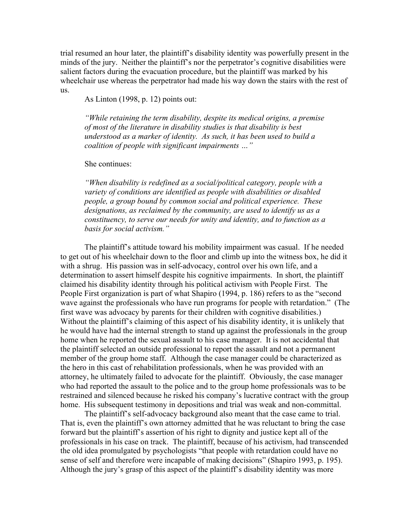trial resumed an hour later, the plaintiff's disability identity was powerfully present in the minds of the jury. Neither the plaintiff's nor the perpetrator's cognitive disabilities were salient factors during the evacuation procedure, but the plaintiff was marked by his wheelchair use whereas the perpetrator had made his way down the stairs with the rest of us.

As Linton (1998, p. 12) points out:

*"While retaining the term disability, despite its medical origins, a premise of most of the literature in disability studies is that disability is best understood as a marker of identity. As such, it has been used to build a coalition of people with significant impairments …"*

She continues:

*"When disability is redefined as a social/political category, people with a variety of conditions are identified as people with disabilities or disabled people, a group bound by common social and political experience. These designations, as reclaimed by the community, are used to identify us as a constituency, to serve our needs for unity and identity, and to function as a basis for social activism."*

The plaintiff's attitude toward his mobility impairment was casual. If he needed to get out of his wheelchair down to the floor and climb up into the witness box, he did it with a shrug. His passion was in self-advocacy, control over his own life, and a determination to assert himself despite his cognitive impairments. In short, the plaintiff claimed his disability identity through his political activism with People First. The People First organization is part of what Shapiro (1994, p. 186) refers to as the "second wave against the professionals who have run programs for people with retardation." (The first wave was advocacy by parents for their children with cognitive disabilities.) Without the plaintiff's claiming of this aspect of his disability identity, it is unlikely that he would have had the internal strength to stand up against the professionals in the group home when he reported the sexual assault to his case manager. It is not accidental that the plaintiff selected an outside professional to report the assault and not a permanent member of the group home staff. Although the case manager could be characterized as the hero in this cast of rehabilitation professionals, when he was provided with an attorney, he ultimately failed to advocate for the plaintiff. Obviously, the case manager who had reported the assault to the police and to the group home professionals was to be restrained and silenced because he risked his company's lucrative contract with the group home. His subsequent testimony in depositions and trial was weak and non-committal.

The plaintiff's self-advocacy background also meant that the case came to trial. That is, even the plaintiff's own attorney admitted that he was reluctant to bring the case forward but the plaintiff's assertion of his right to dignity and justice kept all of the professionals in his case on track. The plaintiff, because of his activism, had transcended the old idea promulgated by psychologists "that people with retardation could have no sense of self and therefore were incapable of making decisions" (Shapiro 1993, p. 195). Although the jury's grasp of this aspect of the plaintiff's disability identity was more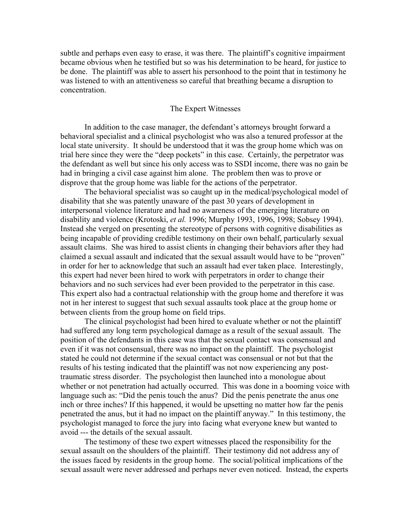subtle and perhaps even easy to erase, it was there. The plaintiff's cognitive impairment became obvious when he testified but so was his determination to be heard, for justice to be done. The plaintiff was able to assert his personhood to the point that in testimony he was listened to with an attentiveness so careful that breathing became a disruption to concentration.

### The Expert Witnesses

In addition to the case manager, the defendant's attorneys brought forward a behavioral specialist and a clinical psychologist who was also a tenured professor at the local state university. It should be understood that it was the group home which was on trial here since they were the "deep pockets" in this case. Certainly, the perpetrator was the defendant as well but since his only access was to SSDI income, there was no gain be had in bringing a civil case against him alone. The problem then was to prove or disprove that the group home was liable for the actions of the perpetrator.

The behavioral specialist was so caught up in the medical/psychological model of disability that she was patently unaware of the past 30 years of development in interpersonal violence literature and had no awareness of the emerging literature on disability and violence (Krotoski, *et al.* 1996; Murphy 1993, 1996, 1998; Sobsey 1994). Instead she verged on presenting the stereotype of persons with cognitive disabilities as being incapable of providing credible testimony on their own behalf, particularly sexual assault claims. She was hired to assist clients in changing their behaviors after they had claimed a sexual assault and indicated that the sexual assault would have to be "proven" in order for her to acknowledge that such an assault had ever taken place. Interestingly, this expert had never been hired to work with perpetrators in order to change their behaviors and no such services had ever been provided to the perpetrator in this case. This expert also had a contractual relationship with the group home and therefore it was not in her interest to suggest that such sexual assaults took place at the group home or between clients from the group home on field trips.

The clinical psychologist had been hired to evaluate whether or not the plaintiff had suffered any long term psychological damage as a result of the sexual assault. The position of the defendants in this case was that the sexual contact was consensual and even if it was not consensual, there was no impact on the plaintiff. The psychologist stated he could not determine if the sexual contact was consensual or not but that the results of his testing indicated that the plaintiff was not now experiencing any posttraumatic stress disorder. The psychologist then launched into a monologue about whether or not penetration had actually occurred. This was done in a booming voice with language such as: "Did the penis touch the anus? Did the penis penetrate the anus one inch or three inches? If this happened, it would be upsetting no matter how far the penis penetrated the anus, but it had no impact on the plaintiff anyway." In this testimony, the psychologist managed to force the jury into facing what everyone knew but wanted to avoid --- the details of the sexual assault.

The testimony of these two expert witnesses placed the responsibility for the sexual assault on the shoulders of the plaintiff. Their testimony did not address any of the issues faced by residents in the group home. The social/political implications of the sexual assault were never addressed and perhaps never even noticed. Instead, the experts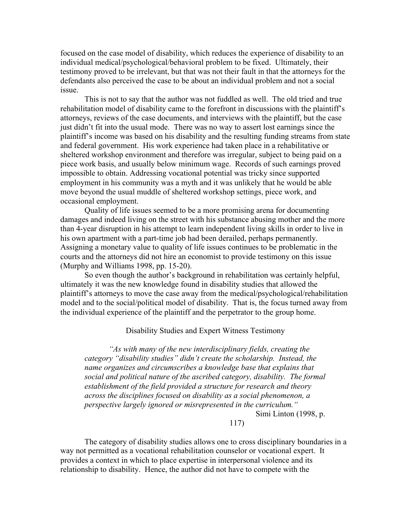focused on the case model of disability, which reduces the experience of disability to an individual medical/psychological/behavioral problem to be fixed. Ultimately, their testimony proved to be irrelevant, but that was not their fault in that the attorneys for the defendants also perceived the case to be about an individual problem and not a social issue.

This is not to say that the author was not fuddled as well. The old tried and true rehabilitation model of disability came to the forefront in discussions with the plaintiff's attorneys, reviews of the case documents, and interviews with the plaintiff, but the case just didn't fit into the usual mode. There was no way to assert lost earnings since the plaintiff's income was based on his disability and the resulting funding streams from state and federal government. His work experience had taken place in a rehabilitative or sheltered workshop environment and therefore was irregular, subject to being paid on a piece work basis, and usually below minimum wage. Records of such earnings proved impossible to obtain. Addressing vocational potential was tricky since supported employment in his community was a myth and it was unlikely that he would be able move beyond the usual muddle of sheltered workshop settings, piece work, and occasional employment.

Quality of life issues seemed to be a more promising arena for documenting damages and indeed living on the street with his substance abusing mother and the more than 4-year disruption in his attempt to learn independent living skills in order to live in his own apartment with a part-time job had been derailed, perhaps permanently. Assigning a monetary value to quality of life issues continues to be problematic in the courts and the attorneys did not hire an economist to provide testimony on this issue (Murphy and Williams 1998, pp. 15-20).

So even though the author's background in rehabilitation was certainly helpful, ultimately it was the new knowledge found in disability studies that allowed the plaintiff's attorneys to move the case away from the medical/psychological/rehabilitation model and to the social/political model of disability. That is, the focus turned away from the individual experience of the plaintiff and the perpetrator to the group home.

#### Disability Studies and Expert Witness Testimony

*"As with many of the new interdisciplinary fields, creating the category "disability studies" didn't create the scholarship. Instead, the name organizes and circumscribes a knowledge base that explains that social and political nature of the ascribed category, disability. The formal establishment of the field provided a structure for research and theory across the disciplines focused on disability as a social phenomenon, a perspective largely ignored or misrepresented in the curriculum."*

Simi Linton (1998, p.

## 117)

The category of disability studies allows one to cross disciplinary boundaries in a way not permitted as a vocational rehabilitation counselor or vocational expert. It provides a context in which to place expertise in interpersonal violence and its relationship to disability. Hence, the author did not have to compete with the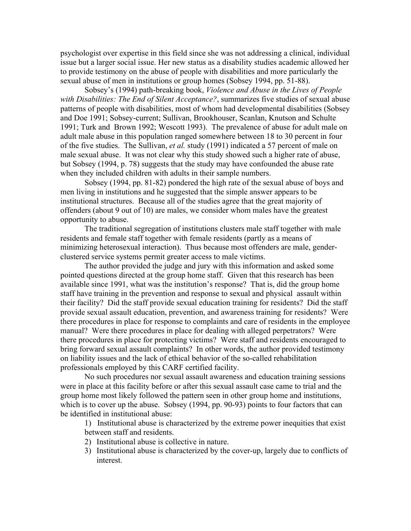psychologist over expertise in this field since she was not addressing a clinical, individual issue but a larger social issue. Her new status as a disability studies academic allowed her to provide testimony on the abuse of people with disabilities and more particularly the sexual abuse of men in institutions or group homes (Sobsey 1994, pp. 51-88).

Sobsey's (1994) path-breaking book, *Violence and Abuse in the Lives of People with Disabilities: The End of Silent Acceptance?*, summarizes five studies of sexual abuse patterns of people with disabilities, most of whom had developmental disabilities (Sobsey and Doe 1991; Sobsey-current; Sullivan, Brookhouser, Scanlan, Knutson and Schulte 1991; Turk and Brown 1992; Wescott 1993). The prevalence of abuse for adult male on adult male abuse in this population ranged somewhere between 18 to 30 percent in four of the five studies. The Sullivan, *et al.* study (1991) indicated a 57 percent of male on male sexual abuse. It was not clear why this study showed such a higher rate of abuse, but Sobsey (1994, p. 78) suggests that the study may have confounded the abuse rate when they included children with adults in their sample numbers.

Sobsey (1994, pp. 81-82) pondered the high rate of the sexual abuse of boys and men living in institutions and he suggested that the simple answer appears to be institutional structures. Because all of the studies agree that the great majority of offenders (about 9 out of 10) are males, we consider whom males have the greatest opportunity to abuse.

The traditional segregation of institutions clusters male staff together with male residents and female staff together with female residents (partly as a means of minimizing heterosexual interaction). Thus because most offenders are male, genderclustered service systems permit greater access to male victims.

The author provided the judge and jury with this information and asked some pointed questions directed at the group home staff. Given that this research has been available since 1991, what was the institution's response? That is, did the group home staff have training in the prevention and response to sexual and physical assault within their facility? Did the staff provide sexual education training for residents? Did the staff provide sexual assault education, prevention, and awareness training for residents? Were there procedures in place for response to complaints and care of residents in the employee manual? Were there procedures in place for dealing with alleged perpetrators? Were there procedures in place for protecting victims? Were staff and residents encouraged to bring forward sexual assault complaints? In other words, the author provided testimony on liability issues and the lack of ethical behavior of the so-called rehabilitation professionals employed by this CARF certified facility.

No such procedures nor sexual assault awareness and education training sessions were in place at this facility before or after this sexual assault case came to trial and the group home most likely followed the pattern seen in other group home and institutions, which is to cover up the abuse. Sobsey (1994, pp. 90-93) points to four factors that can be identified in institutional abuse:

1) Institutional abuse is characterized by the extreme power inequities that exist between staff and residents.

- 2) Institutional abuse is collective in nature.
- 3) Institutional abuse is characterized by the cover-up, largely due to conflicts of interest.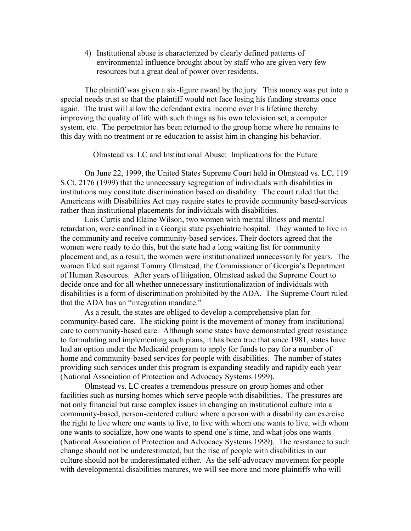4) Institutional abuse is characterized by clearly defined patterns of environmental influence brought about by staff who are given very few resources but a great deal of power over residents.

The plaintiff was given a six-figure award by the jury. This money was put into a special needs trust so that the plaintiff would not face losing his funding streams once again. The trust will allow the defendant extra income over his lifetime thereby improving the quality of life with such things as his own television set, a computer system, etc. The perpetrator has been returned to the group home where he remains to this day with no treatment or re-education to assist him in changing his behavior.

Olmstead vs. LC and Institutional Abuse: Implications for the Future

On June 22, 1999, the United States Supreme Court held in Olmstead vs. LC, 119 S.Ct. 2176 (1999) that the unnecessary segregation of individuals with disabilities in institutions may constitute discrimination based on disability. The court ruled that the Americans with Disabilities Act may require states to provide community based-services rather than institutional placements for individuals with disabilities.

Lois Curtis and Elaine Wilson, two women with mental illness and mental retardation, were confined in a Georgia state psychiatric hospital. They wanted to live in the community and receive community-based services. Their doctors agreed that the women were ready to do this, but the state had a long waiting list for community placement and, as a result, the women were institutionalized unnecessarily for years. The women filed suit against Tommy Olmstead, the Commissioner of Georgia's Department of Human Resources. After years of litigation, Olmstead asked the Supreme Court to decide once and for all whether unnecessary institutionalization of individuals with disabilities is a form of discrimination prohibited by the ADA. The Supreme Court ruled that the ADA has an "integration mandate."

As a result, the states are obliged to develop a comprehensive plan for community-based care. The sticking point is the movement of money from institutional care to community-based care. Although some states have demonstrated great resistance to formulating and implementing such plans, it has been true that since 1981, states have had an option under the Medicaid program to apply for funds to pay for a number of home and community-based services for people with disabilities. The number of states providing such services under this program is expanding steadily and rapidly each year (National Association of Protection and Advocacy Systems 1999).

Olmstead vs. LC creates a tremendous pressure on group homes and other facilities such as nursing homes which serve people with disabilities. The pressures are not only financial but raise complex issues in changing an institutional culture into a community-based, person-centered culture where a person with a disability can exercise the right to live where one wants to live, to live with whom one wants to live, with whom one wants to socialize, how one wants to spend one's time, and what jobs one wants (National Association of Protection and Advocacy Systems 1999). The resistance to such change should not be underestimated, but the rise of people with disabilities in our culture should not be underestimated either. As the self-advocacy movement for people with developmental disabilities matures, we will see more and more plaintiffs who will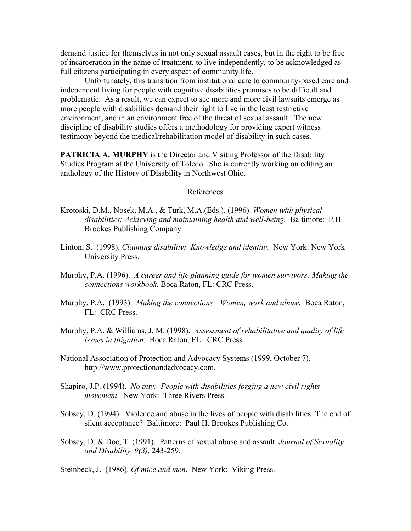demand justice for themselves in not only sexual assault cases, but in the right to be free of incarceration in the name of treatment, to live independently, to be acknowledged as full citizens participating in every aspect of community life.

Unfortunately, this transition from institutional care to community-based care and independent living for people with cognitive disabilities promises to be difficult and problematic. As a result, we can expect to see more and more civil lawsuits emerge as more people with disabilities demand their right to live in the least restrictive environment, and in an environment free of the threat of sexual assault. The new discipline of disability studies offers a methodology for providing expert witness testimony beyond the medical/rehabilitation model of disability in such cases.

**PATRICIA A. MURPHY** is the Director and Visiting Professor of the Disability Studies Program at the University of Toledo. She is currently working on editing an anthology of the History of Disability in Northwest Ohio.

#### References

- Krotoski, D.M., Nosek, M.A., & Turk, M.A.(Eds.). (1996). *Women with physical disabilities: Achieving and maintaining health and well-being.* Baltimore: P.H. Brookes Publishing Company.
- Linton, S. (1998). *Claiming disability: Knowledge and identity.* New York: New York University Press.
- Murphy, P.A. (1996). *A career and life planning guide for women survivors: Making the connections workbook.* Boca Raton, FL: CRC Press.
- Murphy, P.A. (1993). *Making the connections: Women, work and abuse.* Boca Raton, FL: CRC Press.
- Murphy, P.A. & Williams, J. M. (1998). *Assessment of rehabilitative and quality of life issues in litigation.* Boca Raton, FL: CRC Press.
- National Association of Protection and Advocacy Systems (1999, October 7). http://www.protectionandadvocacy.com.
- Shapiro, J.P. (1994). *No pity: People with disabilities forging a new civil rights movement.* New York: Three Rivers Press.
- Sobsey, D. (1994). Violence and abuse in the lives of people with disabilities: The end of silent acceptance? Baltimore: Paul H. Brookes Publishing Co.
- Sobsey, D. & Doe, T. (1991). Patterns of sexual abuse and assault. *Journal of Sexuality and Disability, 9(3),* 243-259.

Steinbeck, J. (1986). *Of mice and men*. New York: Viking Press.